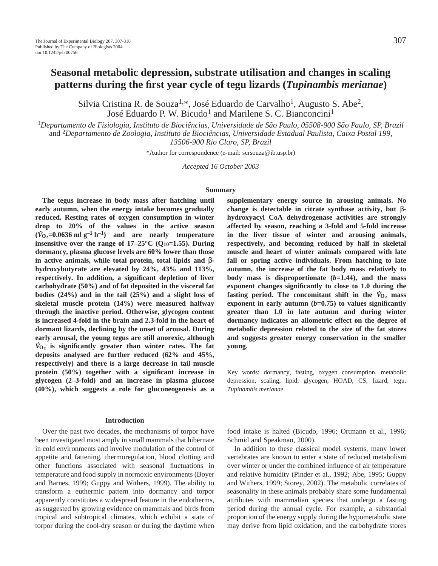# **Seasonal metabolic depression, substrate utilisation and changes in scaling patterns during the first year cycle of tegu lizards (***Tupinambis merianae***)**

Silvia Cristina R. de Souza<sup>1,\*</sup>, José Eduardo de Carvalho<sup>1</sup>, Augusto S. Abe<sup>2</sup>, José Eduardo P. W. Bicudo<sup>1</sup> and Marilene S. C. Bianconcini<sup>1</sup>

<sup>1</sup>*Departamento de Fisiologia, Instituto de Biociências, Universidade de São Paulo, 05508-900 São Paulo, SP, Brazil* and 2*Departamento de Zoologia, Instituto de Biociências, Universidade Estadual Paulista, Caixa Postal 199, 13506-900 Rio Claro, SP, Brazil*

\*Author for correspondence (e-mail: scrsouza@ib.usp.br)

*Accepted 16 October 2003*

### **Summary**

**The tegus increase in body mass after hatching until early autumn, when the energy intake becomes gradually reduced. Resting rates of oxygen consumption in winter drop to 20% of the values in the active season**  $(\dot{V}_{0z} = 0.0636 \text{ ml g}^{-1} \text{ h}^{-1})$  and are nearly temperature **insensitive over the range of 17–25°C (Q10=1.55). During dormancy, plasma glucose levels are 60% lower than those in active animals, while total protein, total lipids and** β**hydroxybutyrate are elevated by 24%, 43% and 113%, respectively. In addition, a significant depletion of liver carbohydrate (50%) and of fat deposited in the visceral fat bodies (24%) and in the tail (25%) and a slight loss of skeletal muscle protein (14%) were measured halfway through the inactive period. Otherwise, glycogen content is increased 4-fold in the brain and 2.3-fold in the heart of dormant lizards, declining by the onset of arousal. During early arousal, the young tegus are still anorexic, although .** *V* **<sup>O</sup>∑ is significantly greater than winter rates. The fat deposits analysed are further reduced (62% and 45%, respectively) and there is a large decrease in tail muscle protein (50%) together with a significant increase in glycogen (2–3-fold) and an increase in plasma glucose (40%), which suggests a role for gluconeogenesis as a**

### **Introduction**

Over the past two decades, the mechanisms of torpor have been investigated most amply in small mammals that hibernate in cold environments and involve modulation of the control of appetite and fattening, thermoregulation, blood clotting and other functions associated with seasonal fluctuations in temperature and food supply in normoxic environments (Boyer and Barnes, 1999; Guppy and Withers, 1999). The ability to transform a euthermic pattern into dormancy and torpor apparently constitutes a widespread feature in the endotherms, as suggested by growing evidence on mammals and birds from tropical and subtropical climates, which exhibit a state of torpor during the cool-dry season or during the daytime when

**supplementary energy source in arousing animals. No change is detectable in citrate synthase activity, but** β**hydroxyacyl CoA dehydrogenase activities are strongly affected by season, reaching a 3-fold and 5-fold increase in the liver tissue of winter and arousing animals, respectively, and becoming reduced by half in skeletal muscle and heart of winter animals compared with late fall or spring active individuals. From hatching to late autumn, the increase of the fat body mass relatively to body mass is disproportionate**  $(b=1.44)$ **, and the mass exponent changes significantly to close to 1.0 during the fasting period.** The concomitant shift in the  $\dot{V}_{O_2}$  mass exponent in early autumn  $(b=0.75)$  to values significantly **greater than 1.0 in late autumn and during winter dormancy indicates an allometric effect on the degree of metabolic depression related to the size of the fat stores and suggests greater energy conservation in the smaller young.**

Key words: dormancy, fasting, oxygen consumption, metabolic depression, scaling, lipid, glycogen, HOAD, CS, lizard, tegu, *Tupinambis merianae.*

food intake is halted (Bicudo, 1996; Ortmann et al., 1996; Schmid and Speakman, 2000).

In addition to these classical model systems, many lower vertebrates are known to enter a state of reduced metabolism over winter or under the combined influence of air temperature and relative humidity (Pinder et al., 1992; Abe, 1995; Guppy and Withers, 1999; Storey, 2002). The metabolic correlates of seasonality in these animals probably share some fundamental attributes with mammalian species that undergo a fasting period during the annual cycle. For example, a substantial proportion of the energy supply during the hypometabolic state may derive from lipid oxidation, and the carbohydrate stores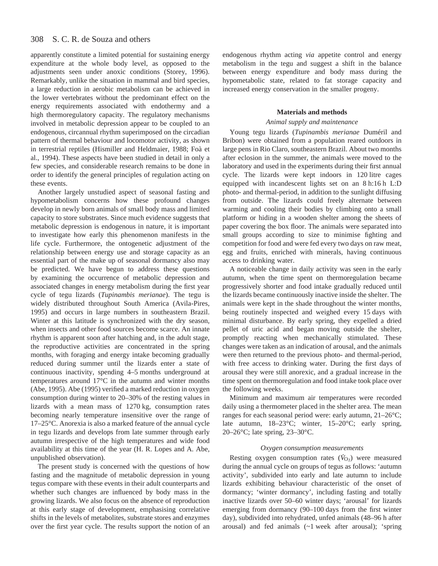apparently constitute a limited potential for sustaining energy expenditure at the whole body level, as opposed to the adjustments seen under anoxic conditions (Storey, 1996). Remarkably, unlike the situation in mammal and bird species, a large reduction in aerobic metabolism can be achieved in the lower vertebrates without the predominant effect on the energy requirements associated with endothermy and a high thermoregulatory capacity. The regulatory mechanisms involved in metabolic depression appear to be coupled to an endogenous, circannual rhythm superimposed on the circadian pattern of thermal behaviour and locomotor activity, as shown in terrestrial reptiles (Hismiller and Heldmaier, 1988; Foà et al., 1994). These aspects have been studied in detail in only a few species, and considerable research remains to be done in order to identify the general principles of regulation acting on these events.

Another largely unstudied aspect of seasonal fasting and hypometabolism concerns how these profound changes develop in newly born animals of small body mass and limited capacity to store substrates. Since much evidence suggests that metabolic depression is endogenous in nature, it is important to investigate how early this phenomenon manifests in the life cycle. Furthermore, the ontogenetic adjustment of the relationship between energy use and storage capacity as an essential part of the make up of seasonal dormancy also may be predicted. We have begun to address these questions by examining the occurrence of metabolic depression and associated changes in energy metabolism during the first year cycle of tegu lizards (*Tupinambis merianae*). The tegu is widely distributed throughout South America (Avila-Pires, 1995) and occurs in large numbers in southeastern Brazil. Winter at this latitude is synchronized with the dry season, when insects and other food sources become scarce. An innate rhythm is apparent soon after hatching and, in the adult stage, the reproductive activities are concentrated in the spring months, with foraging and energy intake becoming gradually reduced during summer until the lizards enter a state of continuous inactivity, spending 4–5 months underground at temperatures around 17°C in the autumn and winter months (Abe, 1995). Abe (1995) verified a marked reduction in oxygen consumption during winter to 20–30% of the resting values in lizards with a mean mass of 1270 kg, consumption rates becoming nearly temperature insensitive over the range of 17–25°C. Anorexia is also a marked feature of the annual cycle in tegu lizards and develops from late summer through early autumn irrespective of the high temperatures and wide food availability at this time of the year (H. R. Lopes and A. Abe, unpublished observation).

The present study is concerned with the questions of how fasting and the magnitude of metabolic depression in young tegus compare with these events in their adult counterparts and whether such changes are influenced by body mass in the growing lizards. We also focus on the absence of reproduction at this early stage of development, emphasising correlative shifts in the levels of metabolites, substrate stores and enzymes over the first year cycle. The results support the notion of an endogenous rhythm acting *via* appetite control and energy metabolism in the tegu and suggest a shift in the balance between energy expenditure and body mass during the hypometabolic state, related to fat storage capacity and increased energy conservation in the smaller progeny.

# **Materials and methods**

# *Animal supply and maintenance*

Young tegu lizards (*Tupinambis merianae* Duméril and Bribon) were obtained from a population reared outdoors in large pens in Rio Claro, southeastern Brazil. About two months after eclosion in the summer, the animals were moved to the laboratory and used in the experiments during their first annual cycle. The lizards were kept indoors in 120 litre cages equipped with incandescent lights set on an 8 h:16 h L:D photo- and thermal-period, in addition to the sunlight diffusing from outside. The lizards could freely alternate between warming and cooling their bodies by climbing onto a small platform or hiding in a wooden shelter among the sheets of paper covering the box floor. The animals were separated into small groups according to size to minimise fighting and competition for food and were fed every two days on raw meat, egg and fruits, enriched with minerals, having continuous access to drinking water.

A noticeable change in daily activity was seen in the early autumn, when the time spent on thermoregulation became progressively shorter and food intake gradually reduced until the lizards became continuously inactive inside the shelter. The animals were kept in the shade throughout the winter months, being routinely inspected and weighed every 15 days with minimal disturbance. By early spring, they expelled a dried pellet of uric acid and began moving outside the shelter, promptly reacting when mechanically stimulated. These changes were taken as an indication of arousal, and the animals were then returned to the previous photo- and thermal-period, with free access to drinking water. During the first days of arousal they were still anorexic, and a gradual increase in the time spent on thermoregulation and food intake took place over the following weeks.

Minimum and maximum air temperatures were recorded daily using a thermometer placed in the shelter area. The mean ranges for each seasonal period were: early autumn, 21–26°C; late autumn, 18–23°C; winter, 15–20°C; early spring, 20–26°C; late spring, 23–30°C.

# *Oxygen consumption measurements*

 $\alpha$  externs consumption *rates (* $\dot{V}_{Q_2}$ *)* were measured during the annual cycle on groups of tegus as follows: 'autumn activity', subdivided into early and late autumn to include lizards exhibiting behaviour characteristic of the onset of dormancy; 'winter dormancy', including fasting and totally inactive lizards over 50–60 winter days; 'arousal' for lizards emerging from dormancy (90–100 days from the first winter day), subdivided into rehydrated, unfed animals (48-96 h after arousal) and fed animals  $(\sim 1$  week after arousal); 'spring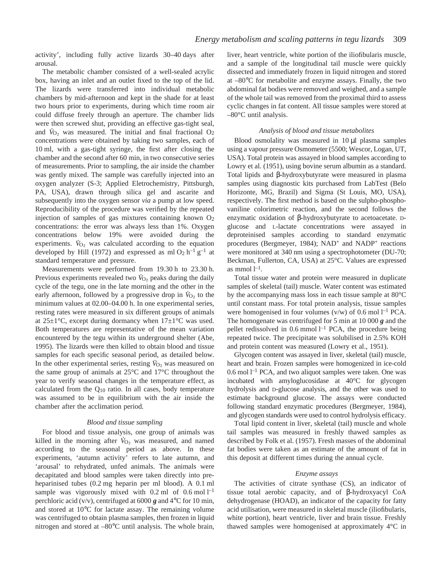activity', including fully active lizards 30-40 days after arousal.

The metabolic chamber consisted of a well-sealed acrylic box, having an inlet and an outlet fixed to the top of the lid. The lizards were transferred into individual metabolic chambers by mid-afternoon and kept in the shade for at least two hours prior to experiments, during which time room air could diffuse freely through an aperture. The chamber lids were then screwed shut, providing an effective gas-tight seal, and  $\dot{V}_{O_2}$  was measured. The initial and final fractional  $O_2$ concentrations were obtained by taking two samples, each of 10 ml, with a gas-tight syringe, the first after closing the chamber and the second after 60 min, in two consecutive series of measurements. Prior to sampling, the air inside the chamber was gently mixed. The sample was carefully injected into an oxygen analyzer (S-3; Applied Eletrochemistry, Pittsburgh, PA, USA), drawn through silica gel and ascarite and subsequently into the oxygen sensor *via* a pump at low speed. Reproducibility of the procedure was verified by the repeated injection of samples of gas mixtures containing known  $O<sub>2</sub>$ concentrations: the error was always less than 1%. Oxygen concentrations below 19% were avoided during the . experiments.  $\dot{V}_{O_2}$  was calculated according to the equation developed by Hill (1972) and expressed as ml O<sub>2</sub> h<sup>-1</sup> g<sup>-1</sup> at standard temperature and pressure.

Measurements were performed from 19.30 h to 23.30 h. Previous experiments revealed two  $V_{\text{O}_2}$  peaks during the daily cycle of the tegu, one in the late morning and the other in the . early afternoon, followed by a progressive drop in  $\dot{V}_{O_2}$  to the minimum values at 02.00–04.00 h. In one experimental series, resting rates were measured in six different groups of animals at  $25\pm1^{\circ}$ C, except during dormancy when  $17\pm1^{\circ}$ C was used. Both temperatures are representative of the mean variation encountered by the tegu within its underground shelter (Abe, 1995). The lizards were then killed to obtain blood and tissue samples for each specific seasonal period, as detailed below. In the other experimental series, resting  $\dot{V}_{O_2}$  was measured on the same group of animals at 25°C and 17°C throughout the year to verify seasonal changes in the temperature effect, as calculated from the  $Q_{10}$  ratio. In all cases, body temperature was assumed to be in equilibrium with the air inside the chamber after the acclimation period.

# *Blood and tissue sampling*

For blood and tissue analysis, one group of animals was killed in the morning after  $\dot{V}_{\text{O}_2}$  was measured, and named according to the seasonal period as above. In these experiments, 'autumn activity' refers to late autumn, and 'arousal' to rehydrated, unfed animals. The animals were decapitated and blood samples were taken directly into preheparinised tubes  $(0.2 \text{ mg}$  heparin per ml blood). A  $0.1 \text{ ml}$ sample was vigorously mixed with  $0.2$  ml of  $0.6$  mol  $l^{-1}$ perchloric acid (v/v), centrifuged at 6000  $g$  and 4<sup>o</sup>C for 10 min, and stored at 10°C for lactate assay. The remaining volume was centrifuged to obtain plasma samples, then frozen in liquid nitrogen and stored at –80°C until analysis. The whole brain,

liver, heart ventricle, white portion of the iliofibularis muscle, and a sample of the longitudinal tail muscle were quickly dissected and immediately frozen in liquid nitrogen and stored at –80°C for metabolite and enzyme assays. Finally, the two abdominal fat bodies were removed and weighed, and a sample of the whole tail was removed from the proximal third to assess cyclic changes in fat content. All tissue samples were stored at –80°C until analysis.

# *Analysis of blood and tissue metabolites*

Blood osmolality was measured in  $10 \mu l$  plasma samples using a vapour pressure Osmometer (5500; Wescor, Logan, UT, USA). Total protein was assayed in blood samples according to Lowry et al. (1951), using bovine serum albumin as a standard. Total lipids and β-hydroxybutyrate were measured in plasma samples using diagnostic kits purchased from LabTest (Belo Horizonte, MG, Brazil) and Sigma (St Louis, MO, USA), respectively. The first method is based on the sulpho-phosphovaniline colorimetric reaction, and the second follows the enzymatic oxidation of β-hydroxybutyrate to acetoacetate. Dglucose and L-lactate concentrations were assayed in deproteinised samples according to standard enzymatic procedures (Bergmeyer, 1984); NAD<sup>+</sup> and NADP<sup>+</sup> reactions were monitored at 340 nm using a spectrophotometer (DU-70; Beckman, Fullerton, CA, USA) at 25°C. Values are expressed as mmol  $l^{-1}$ .

Total tissue water and protein were measured in duplicate samples of skeletal (tail) muscle. Water content was estimated by the accompanying mass loss in each tissue sample at 80°C until constant mass. For total protein analysis, tissue samples were homogenised in four volumes ( $v/w$ ) of 0.6 mol  $l^{-1}$  PCA. The homogenate was centrifuged for  $5$  min at  $10\,000\,g$  and the pellet redissolved in  $0.6$  mmol  $l^{-1}$  PCA, the procedure being repeated twice. The precipitate was solubilised in 2.5% KOH and protein content was measured (Lowry et al., 1951).

Glycogen content was assayed in liver, skeletal (tail) muscle, heart and brain. Frozen samples were homogenized in ice-cold  $0.6$  mol  $l<sup>-1</sup>$  PCA, and two aliquot samples were taken. One was incubated with amyloglucosidase at 40°C for glycogen hydrolysis and D-glucose analysis, and the other was used to estimate background glucose. The assays were conducted following standard enzymatic procedures (Bergmeyer, 1984), and glycogen standards were used to control hydrolysis efficacy.

Total lipid content in liver, skeletal (tail) muscle and whole tail samples was measured in freshly thawed samples as described by Folk et al. (1957). Fresh masses of the abdominal fat bodies were taken as an estimate of the amount of fat in this deposit at different times during the annual cycle.

### *Enzyme assays*

The activities of citrate synthase (CS), an indicator of tissue total aerobic capacity, and of β-hydroxyacyl CoA dehydrogenase (HOAD), an indicator of the capacity for fatty acid utilisation, were measured in skeletal muscle (iliofibularis, white portion), heart ventricle, liver and brain tissue. Freshly thawed samples were homogenised at approximately 4°C in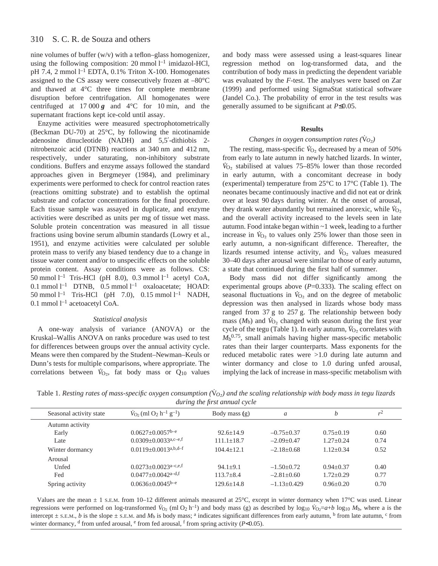nine volumes of buffer (w/v) with a teflon–glass homogenizer, using the following composition:  $20$  mmol  $l^{-1}$  imidazol-HCl, pH 7.4, 2 mmol  $l^{-1}$  EDTA, 0.1% Triton X-100. Homogenates assigned to the CS assay were consecutively frozen at –80°C and thawed at 4°C three times for complete membrane disruption before centrifugation. All homogenates were centrifuged at  $17000g$  and  $4^{\circ}$ C for 10 min, and the supernatant fractions kept ice-cold until assay.

Enzyme activities were measured spectrophotometrically (Beckman DU-70) at 25°C, by following the nicotinamide adenosine dinucleotide (NADH) and 5,5′-dithiobis 2 nitrobenzoic acid (DTNB) reactions at 340 nm and 412 nm, respectively, under saturating, non-inhibitory substrate conditions. Buffers and enzyme assays followed the standard approaches given in Bergmeyer (1984), and preliminary experiments were performed to check for control reaction rates (reactions omitting substrate) and to establish the optimal substrate and cofactor concentrations for the final procedure. Each tissue sample was assayed in duplicate, and enzyme activities were described as units per mg of tissue wet mass. Soluble protein concentration was measured in all tissue fractions using bovine serum albumin standards (Lowry et al., 1951), and enzyme activities were calculated per soluble protein mass to verify any biased tendency due to a change in tissue water content and/or to unspecific effects on the soluble protein content. Assay conditions were as follows. CS: 50 mmol  $l^{-1}$  Tris-HCl (pH 8.0), 0.3 mmol  $l^{-1}$  acetyl CoA, 0.1 mmol  $l^{-1}$  DTNB, 0.5 mmol  $l^{-1}$  oxaloacetate; HOAD: 50 mmol  $l^{-1}$  Tris-HCl (pH 7.0), 0.15 mmol  $l^{-1}$  NADH, 0.1 mmol  $l^{-1}$  acetoacetyl CoA.

# *Statistical analysis*

A one-way analysis of variance (ANOVA) or the Kruskal–Wallis ANOVA on ranks procedure was used to test for differences between groups over the annual activity cycle. Means were then compared by the Student–Newman–Keuls or Dunn's tests for multiple comparisons, where appropriate. The . correlations between  $\dot{V}_{\text{O}_2}$ , fat body mass or  $Q_{10}$  values

and body mass were assessed using a least-squares linear regression method on log-transformed data, and the contribution of body mass in predicting the dependent variable was evaluated by the *F*-test. The analyses were based on Zar (1999) and performed using SigmaStat statistical software (Jandel Co.). The probability of error in the test results was generally assumed to be significant at *P*≤0.05.

# **Results**

# *Changes in oxygen consumption rates (* $\dot{V}_{O_2}$ *)*

The resting, mass-specific  $V_{O_2}$  decreased by a mean of 50% from early to late autumn in newly hatched lizards. In winter, *V* <sup>O</sup>∑ stabilised at values 75–85% lower than those recorded in early autumn, with a concomitant decrease in body (experimental) temperature from  $25^{\circ}$ C to  $17^{\circ}$ C (Table 1). The neonates became continuously inactive and did not eat or drink over at least 90 days during winter. At the onset of arousal, they drank water abundantly but remained anorexic, while  $\dot{V}_{O_2}$ and the overall activity increased to the levels seen in late autumn. Food intake began within  $\sim$  1 week, leading to a further increase in  $\dot{V}_{O_2}$  to values only 25% lower than those seen in early autumn, a non-significant difference. Thereafter, the lizards resumed intense activity, and  $\dot{V}_{O_2}$  values measured 30–40 days after arousal were similar to those of early autumn, a state that continued during the first half of summer.

Body mass did not differ significantly among the experimental groups above  $(P=0.333)$ . The scaling effect on Experimental groups above  $(1 - 0.333)$ . The scaling effect on seasonal fluctuations in  $V_{O_2}$  and on the degree of metabolic depression was then analysed in lizards whose body mass ranged from 37 g to 257 g. The relationship between body mass  $(M_b)$  and  $V_{O_2}$  changed with season during the first year cycle of the tegu (Table 1). In early autumn,  $\dot{V}_{O_2}$  correlates with  $M<sub>b</sub>$ <sup>0.75</sup>, small animals having higher mass-specific metabolic rates than their larger counterparts. Mass exponents for the reduced metabolic rates were >1.0 during late autumn and winter dormancy and close to 1.0 during unfed arousal, implying the lack of increase in mass-specific metabolism with

Table 1. *Resting rates of mass-specific oxygen consumption* ( $\dot{V}_{O_2}$ ) and the scaling relationship with body mass in tegu lizards *during the first annual cycle*

| Seasonal activity state | $\dot{V}_{\text{O}_2}$ (ml O <sub>2</sub> h <sup>-1</sup> g <sup>-1</sup> ) | Body mass $(g)$ | a                | h               | $r^2$ |
|-------------------------|-----------------------------------------------------------------------------|-----------------|------------------|-----------------|-------|
| Autumn activity         |                                                                             |                 |                  |                 |       |
| Early                   | $0.0627 \pm 0.0057$ <sup>b-e</sup>                                          | $92.6 + 14.9$   | $-0.75+0.37$     | $0.75+0.19$     | 0.60  |
| Late                    | $0.0309 \pm 0.0033$ <sub>a,c-e,f</sub>                                      | $111.1 + 18.7$  | $-2.09+0.47$     | $1.27 + 0.24$   | 0.74  |
| Winter dormancy         | $0.0119 \pm 0.0013^{a,b,d-f}$                                               | $104.4 + 12.1$  | $-2.18+0.68$     | $1.12 + 0.34$   | 0.52  |
| Arousal                 |                                                                             |                 |                  |                 |       |
| Unfed                   | $0.0273 \pm 0.0023^{\text{a-c,e,f}}$                                        | $94.1 \pm 9.1$  | $-1.50\pm0.72$   | $0.94 + 0.37$   | 0.40  |
| Fed                     | $0.0477 \pm 0.0042$ <sup>a-d,f</sup>                                        | $113.7 \pm 8.4$ | $-2.81 \pm 0.60$ | $1.72 \pm 0.29$ | 0.77  |
| Spring activity         | $0.0636 \pm 0.0045$ <sup>b-e</sup>                                          | $129.6 + 14.8$  | $-1.13+0.429$    | $0.96 + 0.20$   | 0.70  |

Values are the mean ± 1 S.E.M. from 10–12 different animals measured at 25°C, except in winter dormancy when 17°C was used. Linear regressions were performed on log-transformed  $V_{\text{O}_2}$  (ml  $\text{O}_2$  h<sup>-1</sup>) and body mass (g) as described by log<sub>10</sub>  $V_{\text{O}_2}=a+b \log_{10} M_b$ , where a is the intercept  $\pm$  s.e.m., *b* is the slope  $\pm$  s.e.m. and  $M_b$  is body mass; <sup>a</sup> indicates significant differences from early autumn, <sup>b</sup> from late autumn, <sup>c</sup> from winter dormancy, <sup>d</sup> from unfed arousal, <sup>e</sup> from fed arousal, <sup>f</sup> from spring activity (*P<*0.05).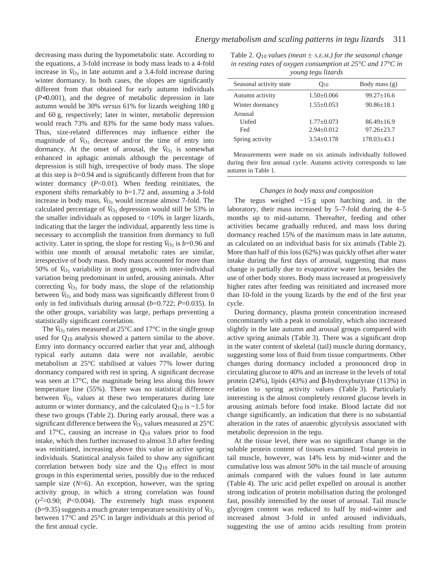decreasing mass during the hypometabolic state. According to the equations, a 3-fold increase in body mass leads to a 4-fold . increase in  $\dot{V}_{O_2}$  in late autumn and a 3.4-fold increase during winter dormancy. In both cases, the slopes are significantly different from that obtained for early autumn individuals (*P*<0.001), and the degree of metabolic depression in late autumn would be 30% *versus* 61% for lizards weighing 180·g and 60 g, respectively; later in winter, metabolic depression would reach 73% and 83% for the same body mass values. Thus, size-related differences may influence either the magnitude of  $V_{O_2}$  decrease and/or the time of entry into dormancy. At the onset of arousal, the  $\dot{V}_{\text{O}_2}$  is somewhat enhanced in aphagic animals although the percentage of depression is still high, irrespective of body mass. The slope at this step is *b*=0.94 and is significantly different from that for winter dormancy (*P<*0.01). When feeding reinitiates, the exponent shifts remarkably to  $b=1.72$  and, assuming a 3-fold increase in body mass,  $V_{\text{O}_2}$  would increase almost 7-fold. The calculated percentage of  $\dot{V}_{O_2}$  depression would still be 53% in the smaller individuals as opposed to <10% in larger lizards, indicating that the larger the individual, apparently less time is necessary to accomplish the transition from dormancy to full activity. Later in spring, the slope for resting  $\dot{V}_{O_2}$  is *b*=0.96 and within one month of arousal metabolic rates are similar, irrespective of body mass. Body mass accounted for more than 50% of  $\dot{V}_{O_2}$  variability in most groups, with inter-individual variation being predominant in unfed, arousing animals. After . correcting  $V_{\text{O}_2}$  for body mass, the slope of the relationship between  $V_{\text{O}_2}$  and body mass was significantly different from 0 only in fed individuals during arousal (*b*=0.722; *P*=0.035). In the other groups, variability was large, perhaps preventing a statistically significant correlation.

The  $\dot{V}_{\text{O}_2}$  rates measured at 25 $\degree$ C and 17 $\degree$ C in the single group used for Q10 analysis showed a pattern similar to the above. Entry into dormancy occurred earlier that year and, although typical early autumn data were not available, aerobic metabolism at 25°C stabilised at values 77% lower during dormancy compared with rest in spring. A significant decrease was seen at 17°C, the magnitude being less along this lower temperature line (55%). There was no statistical difference . between  $\dot{V}_{O_2}$  values at these two temperatures during late autumn or winter dormancy, and the calculated  $Q_{10}$  is  $\sim$  1.5 for these two groups (Table 2). During early arousal, there was a  $\frac{1}{2}$ . significant difference between the  $\dot{V}_{\text{O}_2}$  values measured at 25 $^{\circ}$ C and  $17^{\circ}$ C, causing an increase in  $Q_{10}$  values prior to food intake, which then further increased to almost 3.0 after feeding was reinitiated, increasing above this value in active spring individuals. Statistical analysis failed to show any significant correlation between body size and the  $Q_{10}$  effect in most groups in this experimental series, possibly due to the reduced sample size (*N*=6). An exception, however, was the spring activity group, in which a strong correlation was found  $(r^2=0.90; P<0.004)$ . The extremely high mass exponent ( $b$ =9.35) suggests a much greater temperature sensitivity of  $\dot{V}_{O_2}$ between 17°C and 25°C in larger individuals at this period of the first annual cycle.

Table 2. *Q10 values (mean ± S.E.M.) for the seasonal change in resting rates of oxygen consumption at 25°C and 17°C in young tegu lizards*

| Seasonal activity state | $Q_{10}$         | Body mass $(g)$  |
|-------------------------|------------------|------------------|
| Autumn activity         | $1.50 \pm 0.066$ | $99.27 + 16.6$   |
| Winter dormancy         | $1.55+0.053$     | $90.86 + 18.1$   |
| Arousal                 |                  |                  |
| Unfed                   | $1.77 \pm 0.073$ | $86.49 \pm 16.9$ |
| Fed                     | $2.94 \pm 0.012$ | $97.26 + 23.7$   |
| Spring activity         | $3.54 + 0.178$   | $178.03 + 43.1$  |

Measurements were made on six animals individually followed during their first annual cycle. Autumn activity corresponds to late autumn in Table 1.

# *Changes in body mass and composition*

The tegus weighed  $\sim$ 15 g upon hatching and, in the laboratory, their mass increased by 5–7-fold during the 4–5 months up to mid-autumn. Thereafter, feeding and other activities became gradually reduced, and mass loss during dormancy reached 15% of the maximum mass in late autumn, as calculated on an individual basis for six animals (Table 2). More than half of this loss (62%) was quickly offset after water intake during the first days of arousal, suggesting that mass change is partially due to evaporative water loss, besides the use of other body stores. Body mass increased at progressively higher rates after feeding was reinitiated and increased more than 10-fold in the young lizards by the end of the first year cycle.

During dormancy, plasma protein concentration increased concomitantly with a peak in osmolality, which also increased slightly in the late autumn and arousal groups compared with active spring animals (Table 3). There was a significant drop in the water content of skeletal (tail) muscle during dormancy, suggesting some loss of fluid from tissue compartments. Other changes during dormancy included a pronounced drop in circulating glucose to 40% and an increase in the levels of total protein (24%), lipids (43%) and β-hydroxybutyrate (113%) in relation to spring activity values (Table 3). Particularly interesting is the almost completely restored glucose levels in arousing animals before food intake. Blood lactate did not change significantly, an indication that there is no substantial alteration in the rates of anaerobic glycolysis associated with metabolic depression in the tegu.

At the tissue level, there was no significant change in the soluble protein content of tissues examined. Total protein in tail muscle, however, was 14% less by mid-winter and the cumulative loss was almost 50% in the tail muscle of arousing animals compared with the values found in late autumn (Table 4). The uric acid pellet expelled on arousal is another strong indication of protein mobilisation during the prolonged fast, possibly intensified by the onset of arousal. Tail muscle glycogen content was reduced to half by mid-winter and increased almost 3-fold in unfed aroused individuals, suggesting the use of amino acids resulting from protein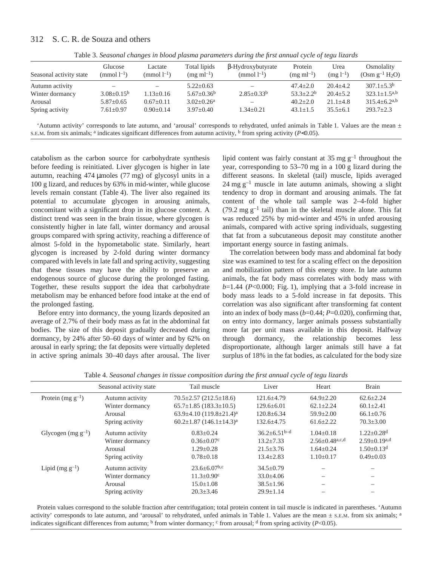| Seasonal activity state | Glucose<br>$\pmod{l^{-1}}$ | Lactate<br>$\pmod{l^{-1}}$ | Total lipids<br>$(mg \text{ ml}^{-1})$ | β-Hydroxybutyrate<br>$\pmod{l^{-1}}$                                                                                                  | Protein<br>$(mg \text{ ml}^{-1})$ | Urea<br>$(mg l^{-1})$ | Osmolality<br>$(Osm g^{-1} H_2 O)$ |
|-------------------------|----------------------------|----------------------------|----------------------------------------|---------------------------------------------------------------------------------------------------------------------------------------|-----------------------------------|-----------------------|------------------------------------|
| Autumn activity         |                            |                            | $5.22 \pm 0.63$                        |                                                                                                                                       | $47.4 + 2.0$                      | $20.4 + 4.2$          | $307.1 + 5.3b$                     |
| Winter dormancy         | $3.08 \pm 0.15^b$          | $1.13+0.16$                | $5.67 \pm 0.36^b$                      | $2.85 \pm 0.33^b$                                                                                                                     | $53.3 + 2.2^b$                    | $20.4 \pm 5.2$        | $323.1+1.5^{a,b}$                  |
| Arousal                 | $5.87 \pm 0.65$            | $0.67 \pm 0.11$            | $3.02 \pm 0.26^a$                      |                                                                                                                                       | $40.2 \pm 2.0$                    | $21.1 + 4.8$          | $315.4 \pm 6.2$ <sup>a,b</sup>     |
| Spring activity         | $7.61 + 0.97$              | $0.90+0.14$                | $3.97+0.40$                            | $1.34 + 0.21$                                                                                                                         | $43.1 + 1.5$                      | $35.5 + 6.1$          | $293.7+2.3$                        |
|                         |                            |                            |                                        | Autumn activity' corresponds to late autumn, and 'arousal' corresponds to rehydrated, unfed animals in Table 1. Values are the mean + |                                   |                       |                                    |

Table 3. *Seasonal changes in blood plasma parameters during the first annual cycle of tegu lizards*

'Autumn activity' corresponds to late autumn, and 'arousal' corresponds to rehydrated, unfed animals in Table 1. Values are the mean  $\pm$ S.E.M. from six animals; a indicates significant differences from autumn activity, b from spring activity (*P*<0.05).

catabolism as the carbon source for carbohydrate synthesis before feeding is reinitiated. Liver glycogen is higher in late autumn, reaching  $474 \mu$ moles (77 mg) of glycosyl units in a 100 g lizard, and reduces by 63% in mid-winter, while glucose levels remain constant (Table 4). The liver also regained its potential to accumulate glycogen in arousing animals, concomitant with a significant drop in its glucose content. A distinct trend was seen in the brain tissue, where glycogen is consistently higher in late fall, winter dormancy and arousal groups compared with spring activity, reaching a difference of almost 5-fold in the hypometabolic state. Similarly, heart glycogen is increased by 2-fold during winter dormancy compared with levels in late fall and spring activity, suggesting that these tissues may have the ability to preserve an endogenous source of glucose during the prolonged fasting. Together, these results support the idea that carbohydrate metabolism may be enhanced before food intake at the end of the prolonged fasting.

Before entry into dormancy, the young lizards deposited an average of 2.7% of their body mass as fat in the abdominal fat bodies. The size of this deposit gradually decreased during dormancy, by 24% after 50–60 days of winter and by 62% on arousal in early spring; the fat deposits were virtually depleted in active spring animals 30-40 days after arousal. The liver

lipid content was fairly constant at  $35~mg~g^{-1}$  throughout the year, corresponding to  $53-70$  mg in a  $100$  g lizard during the different seasons. In skeletal (tail) muscle, lipids averaged  $24$  mg g<sup>-1</sup> muscle in late autumn animals, showing a slight tendency to drop in dormant and arousing animals. The fat content of the whole tail sample was 2–4-fold higher (79.2 mg  $g^{-1}$  tail) than in the skeletal muscle alone. This fat was reduced 25% by mid-winter and 45% in unfed arousing animals, compared with active spring individuals, suggesting that fat from a subcutaneous deposit may constitute another important energy source in fasting animals.

The correlation between body mass and abdominal fat body size was examined to test for a scaling effect on the deposition and mobilization pattern of this energy store. In late autumn animals, the fat body mass correlates with body mass with  $b=1.44$  ( $P<0.000$ ; Fig. 1), implying that a 3-fold increase in body mass leads to a 5-fold increase in fat deposits. This correlation was also significant after transforming fat content into an index of body mass (*b*=0.44; *P*=0.020), confirming that, on entry into dormancy, larger animals possess substantially more fat per unit mass available in this deposit. Halfway through dormancy, the relationship becomes less disproportionate, although larger animals still have a fat surplus of 18% in the fat bodies, as calculated for the body size

|                         | Seasonal activity state | Tail muscle                                     | Liver              | Heart                            | Brain                          |
|-------------------------|-------------------------|-------------------------------------------------|--------------------|----------------------------------|--------------------------------|
| Protein $(mg g^{-1})$   | Autumn activity         | $70.5 \pm 2.57$ (212.5 $\pm$ 18.6)              | $121.6 \pm 4.79$   | $64.9 + 2.20$                    | $62.6 + 2.24$                  |
|                         | Winter dormancy         | $65.7 \pm 1.85$ (183.3 $\pm$ 10.5)              | $129.6 \pm 6.01$   | $62.1 + 2.24$                    | $60.1 + 2.41$                  |
|                         | Arousal                 | $63.9\pm4.10(119.8\pm21.4)^a$                   | $120.8 \pm 6.34$   | $59.9 \pm 2.00$                  | $66.1 \pm 0.76$                |
|                         | Spring activity         | $60.2 \pm 1.87$ (146.1 $\pm$ 14.3) <sup>a</sup> | $132.6 + 4.75$     | $61.6 + 2.22$                    | $70.3 \pm 3.00$                |
| Glycogen (mg $g^{-1}$ ) | Autumn activity         | $0.83 + 0.24$                                   | $36.2 \pm 6.51b-d$ | $1.04 + 0.18$                    | $1.22 + 0.28$ <sup>d</sup>     |
|                         | Winter dormancy         | $0.36 \pm 0.07$ °                               | $13.2 + 7.33$      | $2.56 \pm 0.48$ <sup>a,c,d</sup> | $2.59 \pm 0.19$ <sup>a,d</sup> |
|                         | Arousal                 | $1.29 + 0.28$                                   | $21.5 + 3.76$      | $1.64 + 0.24$                    | $1.50+0.13d$                   |
|                         | Spring activity         | $0.78 \pm 0.18$                                 | $13.4 + 2.83$      | $1.10+0.17$                      | $0.49 \pm 0.03$                |
| Lipid (mg $g^{-1}$ )    | Autumn activity         | $23.6 + 6.07$ <sup>b,c</sup>                    | $34.5 \pm 0.79$    |                                  |                                |
|                         | Winter dormancy         | $11.3 \pm 0.90$ <sup>c</sup>                    | $33.0 \pm 4.06$    |                                  |                                |
|                         | Arousal                 | $15.0 \pm 1.08$                                 | $38.5 \pm 1.96$    | -                                |                                |
|                         | Spring activity         | $20.3 \pm 3.46$                                 | $29.9 \pm 1.14$    |                                  |                                |

Protein values correspond to the soluble fraction after centrifugation; total protein content in tail muscle is indicated in parentheses. 'Autumn activity' corresponds to late autumn, and 'arousal' to rehydrated, unfed animals in Table 1. Values are the mean  $\pm$  s.E.M. from six animals; a indicates significant differences from autumn;  $<sup>b</sup>$  from winter dormancy;  $<sup>c</sup>$  from arousal;  $<sup>d</sup>$  from spring activity ( $P < 0.05$ ).</sup></sup></sup>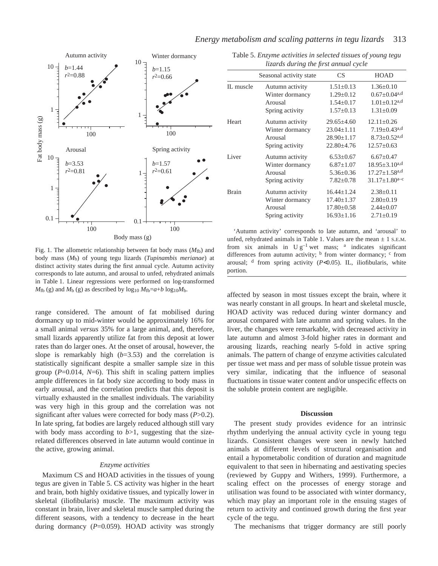# *Energy metabolism and scaling patterns in tegu lizards* 313



Fig. 1. The allometric relationship between fat body mass  $(M_{\text{fb}})$  and body mass (*M*b) of young tegu lizards (*Tupinambis merianae*) at distinct activity states during the first annual cycle. Autumn activity corresponds to late autumn, and arousal to unfed, rehydrated animals in Table 1. Linear regressions were performed on log-transformed  $M_{\text{fb}}$  (g) and  $M_{\text{b}}$  (g) as described by  $\log_{10} M_{\text{fb}} = a + b \log_{10} M_{\text{b}}$ .

range considered. The amount of fat mobilised during dormancy up to mid-winter would be approximately 16% for a small animal *versus* 35% for a large animal, and, therefore, small lizards apparently utilize fat from this deposit at lower rates than do larger ones. At the onset of arousal, however, the slope is remarkably high (*b*=3.53) and the correlation is statistically significant despite a smaller sample size in this group (*P*=0.014, *N*=6). This shift in scaling pattern implies ample differences in fat body size according to body mass in early arousal, and the correlation predicts that this deposit is virtually exhausted in the smallest individuals. The variability was very high in this group and the correlation was not significant after values were corrected for body mass (*P*>0.2). In late spring, fat bodies are largely reduced although still vary with body mass according to  $b>1$ , suggesting that the sizerelated differences observed in late autumn would continue in the active, growing animal.

### *Enzyme activities*

Maximum CS and HOAD activities in the tissues of young tegus are given in Table 5. CS activity was higher in the heart and brain, both highly oxidative tissues, and typically lower in skeletal (iliofibularis) muscle. The maximum activity was constant in brain, liver and skeletal muscle sampled during the different seasons, with a tendency to decrease in the heart during dormancy (P=0.059). HOAD activity was strongly

| uzurus uuring ine jirsi unnuur cycle |                         |                  |                                 |  |  |
|--------------------------------------|-------------------------|------------------|---------------------------------|--|--|
|                                      | Seasonal activity state | <b>CS</b>        | <b>HOAD</b>                     |  |  |
| IL muscle                            | Autumn activity         | $1.51 \pm 0.13$  | $1.36 \pm 0.10$                 |  |  |
|                                      | Winter dormancy         | $1.29 \pm 0.12$  | $0.67 \pm 0.04$ <sup>a,d</sup>  |  |  |
|                                      | Arousal                 | $1.54 + 0.17$    | $1.01 \pm 0.12$ <sup>a,d</sup>  |  |  |
|                                      | Spring activity         | $1.57 \pm 0.13$  | $1.31 \pm 0.09$                 |  |  |
| Heart                                | Autumn activity         | $29.65 \pm 4.60$ | $12.11 \pm 0.26$                |  |  |
|                                      | Winter dormancy         | $23.04 \pm 1.11$ | $7.19 \pm 0.43$ <sup>a,d</sup>  |  |  |
|                                      | Arousal                 | $28.90 \pm 1.17$ | $8.73 \pm 0.52$ <sup>a,d</sup>  |  |  |
|                                      | Spring activity         | $22.80 \pm 4.76$ | $12.57 \pm 0.63$                |  |  |
| Liver                                | Autumn activity         | $6.53 \pm 0.67$  | $6.67 \pm 0.47$                 |  |  |
|                                      | Winter dormancy         | $6.87 \pm 1.07$  | $18.95 \pm 3.10^{a,d}$          |  |  |
|                                      | Arousal                 | $5.36 \pm 0.36$  | $17.27 \pm 1.58$ <sup>a,d</sup> |  |  |
|                                      | Spring activity         | $7.82 \pm 0.78$  | $31.17 \pm 1.80^{a-c}$          |  |  |
| <b>Brain</b>                         | Autumn activity         | $16.44 \pm 1.24$ | $2.38 \pm 0.11$                 |  |  |
|                                      | Winter dormancy         | $17.40 \pm 1.37$ | $2.80 \pm 0.19$                 |  |  |
|                                      | Arousal                 | $17.80 \pm 0.58$ | $2.44 \pm 0.07$                 |  |  |
|                                      | Spring activity         | $16.93 \pm 1.16$ | $2.71 \pm 0.19$                 |  |  |
|                                      |                         |                  |                                 |  |  |

Table 5. *Enzyme activities in selected tissues of young tegu lizards during the first annual cycle*

'Autumn activity' corresponds to late autumn, and 'arousal' to unfed, rehydrated animals in Table 1. Values are the mean  $\pm$  1 s.E.M. from six animals in  $Ug^{-1}$  wet mass; <sup>a</sup> indicates significant differences from autumn activity;  $\frac{b}{c}$  from winter dormancy;  $\frac{c}{c}$  from arousal; <sup>d</sup> from spring activity (*P*<0.05). IL, iliofibularis, white portion.

affected by season in most tissues except the brain, where it was nearly constant in all groups. In heart and skeletal muscle, HOAD activity was reduced during winter dormancy and arousal compared with late autumn and spring values. In the liver, the changes were remarkable, with decreased activity in late autumn and almost 3-fold higher rates in dormant and arousing lizards, reaching nearly 5-fold in active spring animals. The pattern of change of enzyme activities calculated per tissue wet mass and per mass of soluble tissue protein was very similar, indicating that the influence of seasonal fluctuations in tissue water content and/or unspecific effects on the soluble protein content are negligible.

# **Discussion**

The present study provides evidence for an intrinsic rhythm underlying the annual activity cycle in young tegu lizards. Consistent changes were seen in newly hatched animals at different levels of structural organisation and entail a hypometabolic condition of duration and magnitude equivalent to that seen in hibernating and aestivating species (reviewed by Guppy and Withers, 1999). Furthermore, a scaling effect on the processes of energy storage and utilisation was found to be associated with winter dormancy, which may play an important role in the ensuing stages of return to activity and continued growth during the first year cycle of the tegu.

The mechanisms that trigger dormancy are still poorly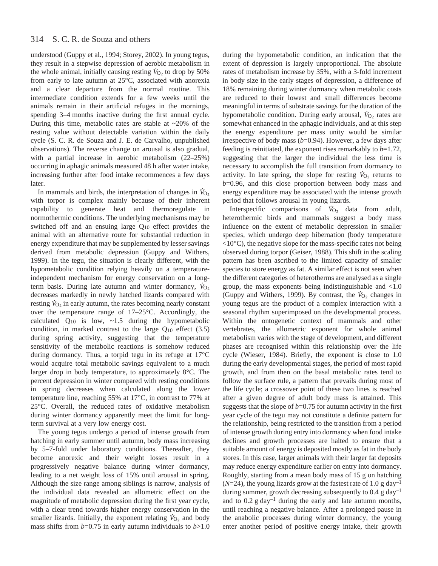understood (Guppy et al., 1994; Storey, 2002). In young tegus, they result in a stepwise depression of aerobic metabolism in . the whole animal, initially causing resting  $\dot{V}_{\text{O}_2}$  to drop by 50% from early to late autumn at 25°C, associated with anorexia and a clear departure from the normal routine. This intermediate condition extends for a few weeks until the animals remain in their artificial refuges in the mornings, spending 3–4 months inactive during the first annual cycle. During this time, metabolic rates are stable at  $\sim$ 20% of the resting value without detectable variation within the daily cycle (S. C. R. de Souza and J. E. de Carvalho, unpublished observations). The reverse change on arousal is also gradual, with a partial increase in aerobic metabolism (22–25%) occurring in aphagic animals measured 48 h after water intake, increasing further after food intake recommences a few days later.

**In mammals and birds, the interpretation of changes in**  $\dot{V}_{O_2}$ with torpor is complex mainly because of their inherent capability to generate heat and thermoregulate in normothermic conditions. The underlying mechanisms may be switched off and an ensuing large Q10 effect provides the animal with an alternative route for substantial reduction in energy expenditure that may be supplemented by lesser savings derived from metabolic depression (Guppy and Withers, 1999). In the tegu, the situation is clearly different, with the hypometabolic condition relying heavily on a temperatureindependent mechanism for energy conservation on a long-. term basis. During late autumn and winter dormancy,  $\dot{V}_{O_2}$ decreases markedly in newly hatched lizards compared with . resting  $\dot{V}_{O_2}$  in early autumn, the rates becoming nearly constant over the temperature range of 17–25°C. Accordingly, the calculated  $Q_{10}$  is low, ~1.5 during the hypometabolic condition, in marked contrast to the large  $Q_{10}$  effect (3.5) during spring activity, suggesting that the temperature sensitivity of the metabolic reactions is somehow reduced during dormancy. Thus, a torpid tegu in its refuge at 17°C would acquire total metabolic savings equivalent to a much larger drop in body temperature, to approximately 8°C. The percent depression in winter compared with resting conditions in spring decreases when calculated along the lower temperature line, reaching 55% at 17°C, in contrast to 77% at 25°C. Overall, the reduced rates of oxidative metabolism during winter dormancy apparently meet the limit for longterm survival at a very low energy cost.

The young tegus undergo a period of intense growth from hatching in early summer until autumn, body mass increasing by 5–7-fold under laboratory conditions. Thereafter, they become anorexic and their weight losses result in a progressively negative balance during winter dormancy, leading to a net weight loss of 15% until arousal in spring. Although the size range among siblings is narrow, analysis of the individual data revealed an allometric effect on the magnitude of metabolic depression during the first year cycle, with a clear trend towards higher energy conservation in the smaller lizards. Initially, the exponent relating  $\dot{V}_{O_2}$  and body mass shifts from  $b=0.75$  in early autumn individuals to  $b>1.0$ 

during the hypometabolic condition, an indication that the extent of depression is largely unproportional. The absolute rates of metabolism increase by 35%, with a 3-fold increment in body size in the early stages of depression, a difference of 18% remaining during winter dormancy when metabolic costs are reduced to their lowest and small differences become meaningful in terms of substrate savings for the duration of the . hypometabolic condition. During early arousal,  $\dot{V}_{O_2}$  rates are somewhat enhanced in the aphagic individuals, and at this step the energy expenditure per mass unity would be similar irrespective of body mass (*b*=0.94). However, a few days after feeding is reinitiated, the exponent rises remarkably to *b*=1.72, suggesting that the larger the individual the less time is necessary to accomplish the full transition from dormancy to activity. In late spring, the slope for resting  $\dot{V}_{O_2}$  returns to *b*=0.96, and this close proportion between body mass and energy expenditure may be associated with the intense growth period that follows arousal in young lizards.

Interspecific comparisons of  $V_{O_2}$  data from adult, heterothermic birds and mammals suggest a body mass influence on the extent of metabolic depression in smaller species, which undergo deep hibernation (body temperature  $\langle 10^{\circ}$ C), the negative slope for the mass-specific rates not being observed during torpor (Geiser, 1988). This shift in the scaling pattern has been ascribed to the limited capacity of smaller species to store energy as fat. A similar effect is not seen when the different categories of heterotherms are analysed as a single group, the mass exponents being indistinguishable and <1.0 (Guppy and Withers, 1999). By contrast, the  $\dot{V}_{O_2}$  changes in young tegus are the product of a complex interaction with a seasonal rhythm superimposed on the developmental process. Within the ontogenetic context of mammals and other vertebrates, the allometric exponent for whole animal metabolism varies with the stage of development, and different phases are recognised within this relationship over the life cycle (Wieser, 1984). Briefly, the exponent is close to 1.0 during the early developmental stages, the period of most rapid growth, and from then on the basal metabolic rates tend to follow the surface rule, a pattern that prevails during most of the life cycle; a crossover point of these two lines is reached after a given degree of adult body mass is attained. This suggests that the slope of  $b=0.75$  for autumn activity in the first year cycle of the tegu may not constitute a definite pattern for the relationship, being restricted to the transition from a period of intense growth during entry into dormancy when food intake declines and growth processes are halted to ensure that a suitable amount of energy is deposited mostly as fat in the body stores. In this case, larger animals with their larger fat deposits may reduce energy expenditure earlier on entry into dormancy. Roughly, starting from a mean body mass of 15 g on hatching  $(N=24)$ , the young lizards grow at the fastest rate of 1.0 g day<sup>-1</sup> during summer, growth decreasing subsequently to  $0.4~g~day^{-1}$ and to  $0.2$  g day<sup>-1</sup> during the early and late autumn months, until reaching a negative balance. After a prolonged pause in the anabolic processes during winter dormancy, the young enter another period of positive energy intake, their growth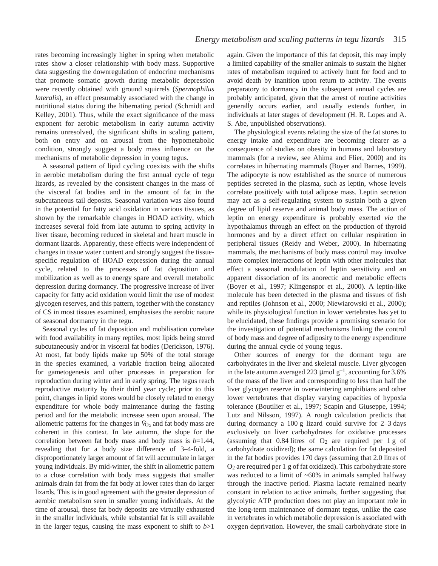rates becoming increasingly higher in spring when metabolic rates show a closer relationship with body mass. Supportive data suggesting the downregulation of endocrine mechanisms that promote somatic growth during metabolic depression were recently obtained with ground squirrels (*Spermophilus lateralis*), an effect presumably associated with the change in nutritional status during the hibernating period (Schmidt and Kelley, 2001). Thus, while the exact significance of the mass exponent for aerobic metabolism in early autumn activity remains unresolved, the significant shifts in scaling pattern, both on entry and on arousal from the hypometabolic condition, strongly suggest a body mass influence on the mechanisms of metabolic depression in young tegus.

A seasonal pattern of lipid cycling coexists with the shifts in aerobic metabolism during the first annual cycle of tegu lizards, as revealed by the consistent changes in the mass of the visceral fat bodies and in the amount of fat in the subcutaneous tail deposits. Seasonal variation was also found in the potential for fatty acid oxidation in various tissues, as shown by the remarkable changes in HOAD activity, which increases several fold from late autumn to spring activity in liver tissue, becoming reduced in skeletal and heart muscle in dormant lizards. Apparently, these effects were independent of changes in tissue water content and strongly suggest the tissuespecific regulation of HOAD expression during the annual cycle, related to the processes of fat deposition and mobilization as well as to energy spare and overall metabolic depression during dormancy. The progressive increase of liver capacity for fatty acid oxidation would limit the use of modest glycogen reserves, and this pattern, together with the constancy of CS in most tissues examined, emphasises the aerobic nature of seasonal dormancy in the tegu.

Seasonal cycles of fat deposition and mobilisation correlate with food availability in many reptiles, most lipids being stored subcutaneously and/or in visceral fat bodies (Derickson, 1976). At most, fat body lipids make up 50% of the total storage in the species examined, a variable fraction being allocated for gametogenesis and other processes in preparation for reproduction during winter and in early spring. The tegus reach reproductive maturity by their third year cycle; prior to this point, changes in lipid stores would be closely related to energy expenditure for whole body maintenance during the fasting period and for the metabolic increase seen upon arousal. The allometric patterns for the changes in  $\dot{V}_{O_2}$  and fat body mass are coherent in this context. In late autumn, the slope for the correlation between fat body mass and body mass is *b*=1.44, revealing that for a body size difference of 3–4-fold, a disproportionately larger amount of fat will accumulate in larger young individuals. By mid-winter, the shift in allometric pattern to a close correlation with body mass suggests that smaller animals drain fat from the fat body at lower rates than do larger lizards. This is in good agreement with the greater depression of aerobic metabolism seen in smaller young individuals. At the time of arousal, these fat body deposits are virtually exhausted in the smaller individuals, while substantial fat is still available in the larger tegus, causing the mass exponent to shift to *b*>1 again. Given the importance of this fat deposit, this may imply a limited capability of the smaller animals to sustain the higher rates of metabolism required to actively hunt for food and to avoid death by inanition upon return to activity. The events preparatory to dormancy in the subsequent annual cycles are probably anticipated, given that the arrest of routine activities generally occurs earlier, and usually extends further, in individuals at later stages of development (H. R. Lopes and A. S. Abe, unpublished observations).

The physiological events relating the size of the fat stores to energy intake and expenditure are becoming clearer as a consequence of studies on obesity in humans and laboratory mammals (for a review, see Ahima and Flier, 2000) and its correlates in hibernating mammals (Boyer and Barnes, 1999). The adipocyte is now established as the source of numerous peptides secreted in the plasma, such as leptin, whose levels correlate positively with total adipose mass. Leptin secretion may act as a self-regulating system to sustain both a given degree of lipid reserve and animal body mass. The action of leptin on energy expenditure is probably exerted *via* the hypothalamus through an effect on the production of thyroid hormones and by a direct effect on cellular respiration in peripheral tissues (Reidy and Weber, 2000). In hibernating mammals, the mechanisms of body mass control may involve more complex interactions of leptin with other molecules that effect a seasonal modulation of leptin sensitivity and an apparent dissociation of its anorectic and metabolic effects (Boyer et al., 1997; Klingenspor et al., 2000). A leptin-like molecule has been detected in the plasma and tissues of fish and reptiles (Johnson et al., 2000; Niewiarowski et al., 2000); while its physiological function in lower vertebrates has yet to be elucidated, these findings provide a promising scenario for the investigation of potential mechanisms linking the control of body mass and degree of adiposity to the energy expenditure during the annual cycle of young tegus.

Other sources of energy for the dormant tegu are carbohydrates in the liver and skeletal muscle. Liver glycogen in the late autumn averaged 223  $\mu$ mol g<sup>-1</sup>, accounting for 3.6% of the mass of the liver and corresponding to less than half the liver glycogen reserve in overwintering amphibians and other lower vertebrates that display varying capacities of hypoxia tolerance (Boutilier et al., 1997; Scapin and Giuseppe, 1994; Lutz and Nilsson, 1997). A rough calculation predicts that during dormancy a  $100 g$  lizard could survive for 2–3 days exclusively on liver carbohydrates for oxidative processes (assuming that 0.84 litres of  $O_2$  are required per 1 g of carbohydrate oxidized); the same calculation for fat deposited in the fat bodies provides 170 days (assuming that 2.0 litres of  $O<sub>2</sub>$  are required per 1 g of fat oxidized). This carbohydrate store was reduced to a limit of  $~60\%$  in animals sampled halfway through the inactive period. Plasma lactate remained nearly constant in relation to active animals, further suggesting that glycolytic ATP production does not play an important role in the long-term maintenance of dormant tegus, unlike the case in vertebrates in which metabolic depression is associated with oxygen deprivation. However, the small carbohydrate store in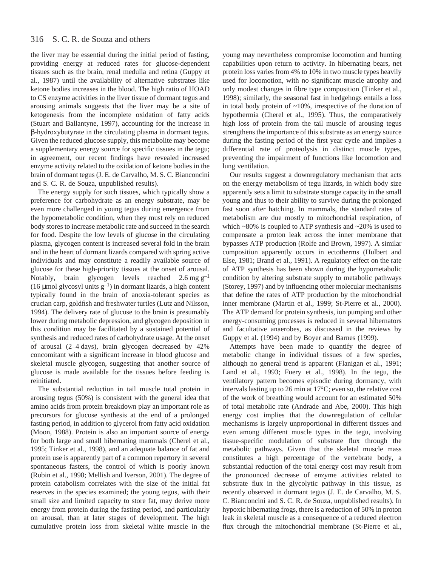the liver may be essential during the initial period of fasting, providing energy at reduced rates for glucose-dependent tissues such as the brain, renal medulla and retina (Guppy et al., 1987) until the availability of alternative substrates like ketone bodies increases in the blood. The high ratio of HOAD to CS enzyme activities in the liver tissue of dormant tegus and arousing animals suggests that the liver may be a site of ketogenesis from the incomplete oxidation of fatty acids (Stuart and Ballantyne, 1997), accounting for the increase in β-hydroxybutyrate in the circulating plasma in dormant tegus. Given the reduced glucose supply, this metabolite may become a supplementary energy source for specific tissues in the tegu; in agreement, our recent findings have revealed increased enzyme activity related to the oxidation of ketone bodies in the brain of dormant tegus (J. E. de Carvalho, M. S. C. Bianconcini and S. C. R. de Souza, unpublished results).

The energy supply for such tissues, which typically show a preference for carbohydrate as an energy substrate, may be even more challenged in young tegus during emergence from the hypometabolic condition, when they must rely on reduced body stores to increase metabolic rate and succeed in the search for food. Despite the low levels of glucose in the circulating plasma, glycogen content is increased several fold in the brain and in the heart of dormant lizards compared with spring active individuals and may constitute a readily available source of glucose for these high-priority tissues at the onset of arousal. Notably, brain glycogen levels reached 2.6 mg  $g^{-1}$ (16 µmol glycosyl units  $g^{-1}$ ) in dormant lizards, a high content typically found in the brain of anoxia-tolerant species as crucian carp, goldfish and freshwater turtles (Lutz and Nilsson, 1994). The delivery rate of glucose to the brain is presumably lower during metabolic depression, and glycogen deposition in this condition may be facilitated by a sustained potential of synthesis and reduced rates of carbohydrate usage. At the onset of arousal  $(2-4 \text{ days})$ , brain glycogen decreased by  $42\%$ concomitant with a significant increase in blood glucose and skeletal muscle glycogen, suggesting that another source of glucose is made available for the tissues before feeding is reinitiated.

The substantial reduction in tail muscle total protein in arousing tegus (50%) is consistent with the general idea that amino acids from protein breakdown play an important role as precursors for glucose synthesis at the end of a prolonged fasting period, in addition to glycerol from fatty acid oxidation (Moon, 1988). Protein is also an important source of energy for both large and small hibernating mammals (Cherel et al., 1995; Tinker et al., 1998), and an adequate balance of fat and protein use is apparently part of a common repertory in several spontaneous fasters, the control of which is poorly known (Robin et al., 1998; Mellish and Iverson, 2001). The degree of protein catabolism correlates with the size of the initial fat reserves in the species examined; the young tegus, with their small size and limited capacity to store fat, may derive more energy from protein during the fasting period, and particularly on arousal, than at later stages of development. The high cumulative protein loss from skeletal white muscle in the young may nevertheless compromise locomotion and hunting capabilities upon return to activity. In hibernating bears, net protein loss varies from 4% to 10% in two muscle types heavily used for locomotion, with no significant muscle atrophy and only modest changes in fibre type composition (Tinker et al., 1998); similarly, the seasonal fast in hedgehogs entails a loss in total body protein of  $~10\%$ , irrespective of the duration of hypothermia (Cherel et al., 1995). Thus, the comparatively high loss of protein from the tail muscle of arousing tegus strengthens the importance of this substrate as an energy source during the fasting period of the first year cycle and implies a differential rate of proteolysis in distinct muscle types, preventing the impairment of functions like locomotion and lung ventilation.

Our results suggest a downregulatory mechanism that acts on the energy metabolism of tegu lizards, in which body size apparently sets a limit to substrate storage capacity in the small young and thus to their ability to survive during the prolonged fast soon after hatching. In mammals, the standard rates of metabolism are due mostly to mitochondrial respiration, of which  $\sim80\%$  is coupled to ATP synthesis and  $\sim20\%$  is used to compensate a proton leak across the inner membrane that bypasses ATP production (Rolfe and Brown, 1997). A similar composition apparently occurs in ectotherms (Hulbert and Else, 1981; Brand et al., 1991). A regulatory effect on the rate of ATP synthesis has been shown during the hypometabolic condition by altering substrate supply to metabolic pathways (Storey, 1997) and by influencing other molecular mechanisms that define the rates of ATP production by the mitochondrial inner membrane (Martin et al., 1999; St-Pierre et al., 2000). The ATP demand for protein synthesis, ion pumping and other energy-consuming processes is reduced in several hibernators and facultative anaerobes, as discussed in the reviews by Guppy et al. (1994) and by Boyer and Barnes (1999).

Attempts have been made to quantify the degree of metabolic change in individual tissues of a few species, although no general trend is apparent (Flanigan et al., 1991; Land et al., 1993; Fuery et al., 1998). In the tegu, the ventilatory pattern becomes episodic during dormancy, with intervals lasting up to 26 min at  $17^{\circ}$ C; even so, the relative cost of the work of breathing would account for an estimated 50% of total metabolic rate (Andrade and Abe, 2000). This high energy cost implies that the downregulation of cellular mechanisms is largely unproportional in different tissues and even among different muscle types in the tegu, involving tissue-specific modulation of substrate flux through the metabolic pathways. Given that the skeletal muscle mass constitutes a high percentage of the vertebrate body, a substantial reduction of the total energy cost may result from the pronounced decrease of enzyme activities related to substrate flux in the glycolytic pathway in this tissue, as recently observed in dormant tegus (J. E. de Carvalho, M. S. C. Bianconcini and S. C. R. de Souza, unpublished results). In hypoxic hibernating frogs, there is a reduction of 50% in proton leak in skeletal muscle as a consequence of a reduced electron flux through the mitochondrial membrane (St-Pierre et al.,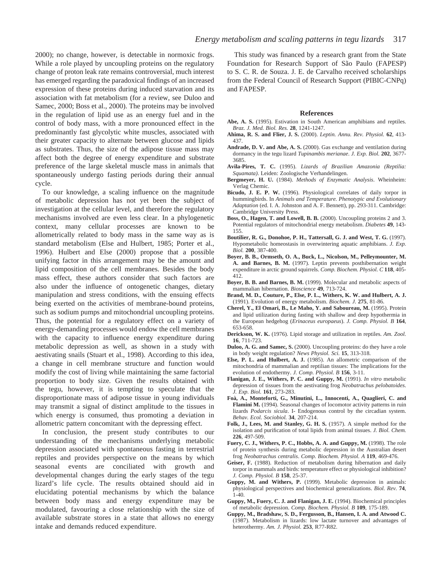2000); no change, however, is detectable in normoxic frogs. While a role played by uncoupling proteins on the regulatory change of proton leak rate remains controversial, much interest has emerged regarding the paradoxical findings of an increased expression of these proteins during induced starvation and its association with fat metabolism (for a review, see Duloo and Samec, 2000; Boss et al., 2000). The proteins may be involved in the regulation of lipid use as an energy fuel and in the control of body mass, with a more pronounced effect in the predominantly fast glycolytic white muscles, associated with their greater capacity to alternate between glucose and lipids as substrates. Thus, the size of the adipose tissue mass may affect both the degree of energy expenditure and substrate preference of the large skeletal muscle mass in animals that spontaneously undergo fasting periods during their annual cycle.

To our knowledge, a scaling influence on the magnitude of metabolic depression has not yet been the subject of investigation at the cellular level, and therefore the regulatory mechanisms involved are even less clear. In a phylogenetic context, many cellular processes are known to be allometrically related to body mass in the same way as is standard metabolism (Else and Hulbert, 1985; Porter et al., 1996). Hulbert and Else (2000) propose that a possible unifying factor in this arrangement may be the amount and lipid composition of the cell membranes. Besides the body mass effect, these authors consider that such factors are also under the influence of ontogenetic changes, dietary manipulation and stress conditions, with the ensuing effects being exerted on the activities of membrane-bound proteins, such as sodium pumps and mitochondrial uncoupling proteins. Thus, the potential for a regulatory effect on a variety of energy-demanding processes would endow the cell membranes with the capacity to influence energy expenditure during metabolic depression as well, as shown in a study with aestivating snails (Stuart et al., 1998). According to this idea, a change in cell membrane structure and function would modify the cost of living while maintaining the same factorial proportion to body size. Given the results obtained with the tegu, however, it is tempting to speculate that the disproportionate mass of adipose tissue in young individuals may transmit a signal of distinct amplitude to the tissues in which energy is consumed, thus promoting a deviation in allometric pattern concomitant with the depressing effect.

In conclusion, the present study contributes to our understanding of the mechanisms underlying metabolic depression associated with spontaneous fasting in terrestrial reptiles and provides perspective on the means by which seasonal events are conciliated with growth and developmental changes during the early stages of the tegu lizard's life cycle. The results obtained should aid in elucidating potential mechanisms by which the balance between body mass and energy expenditure may be modulated, favouring a close relationship with the size of available substrate stores in a state that allows no energy intake and demands reduced expenditure.

This study was financed by a research grant from the State Foundation for Research Support of São Paulo (FAPESP) to S. C. R. de Souza. J. E. de Carvalho received scholarships from the Federal Council of Research Support (PIBIC-CNPq) and FAPESP.

### **References**

- **Abe, A. S.** (1995). Estivation in South American amphibians and reptiles. *Braz. J. Med. Biol. Res.* **28**, 1241-1247.
- **Ahima, R. S. and Flier, J. S.** (2000). *Leptin. Annu. Rev. Physiol.* **62**, 413- 437.
- **Andrade, D. V. and Abe, A. S.** (2000). Gas exchange and ventilation during dormancy in the tegu lizard *Tupinambis merianae*. *J. Exp. Biol.* **202**, 3677- 3685.
- **Avila-Pires, T. C.** (1995). *Lizards of Brazilian Amazonia (Reptilia: Squamata)*. Leiden: Zoologische Verhandelingen.
- **Bergmeyer, H. U.** (1984). *Methods of Enzymatic Analysis*. Wheinheim: Verlag Chemic.
- **Bicudo, J. E. P. W.** (1996). Physiological correlates of daily torpor in hummingbirds. In *Animals and Temperature. Phenotypic and Evolutionary Adaptation* (ed. I. A. Johnston and A. F. Bennett), pp. 293-311. Cambridge: Cambridge University Press.
- **Boss, O., Hagen, T. and Lowell, B. B.** (2000). Uncoupling proteins 2 and 3. Potential regulators of mitochondrial energy metabolism. *Diabetes* **49**, 143- 155.
- **Boutilier, R. G., Donohoe, P. H., Tattersall, G. J. and West, T. G.** (1997). Hypometabolic homeostasis in overwintering aquatic amphibians. *J. Exp. Biol.* **200**, 387-400.
- **Boyer, B. B., Ormseth, O. A., Buck, L., Nicolson, M., Pelleymounter, M. A. and Barnes, B. M.** (1997). Leptin prevents posthibernation weight expenditure in arctic ground squirrels. *Comp. Biochem. Physiol. C* **118**, 405- 412.
- **Boyer, B. B. and Barnes, B. M.** (1999). Molecular and metabolic aspects of mammalian hibernation. *Bioscience* **49**, 713-724.
- **Brand, M. D., Couture, P., Else, P. L., Withers, K. W. and Hulbert, A. J.** (1991). Evolution of energy metabolism. *Biochem. J.* **275**, 81-86.
- **Cherel, Y., El Omari, B., Le Maho, Y. and Saboureau, M.** (1995). Protein and lipid utilization during fasting with shallow and deep hypothermia in the European hedgehog (*Erinaceus europaeus*). *J. Comp. Physiol. B* **164**, 653-658.
- **Derickson, W. K.** (1976). Lipid storage and utilization in reptiles. *Am. Zool.* **16**, 711-723.
- **Duloo, A. G. and Samec, S.** (2000). Uncoupling proteins: do they have a role in body weight regulation? *News Physiol. Sci.* **15**, 313-318.
- **Else, P. L. and Hulbert, A. J.** (1985). An allometric comparison of the mitochondria of mammalian and reptilian tissues: The implications for the evolution of endothermy. *J. Comp. Physiol. B* **156**, 3-11.
- **Flanigan, J. E., Withers, P. C. and Guppy, M.** (1991). *In vitro* metabolic depression of tissues from the aestivating frog *Neobatrachus pelobatoides*. *J. Exp. Biol.* **161**, 273-283.
- **Foà, A., Monteforti, G., Minutini, L., Innocenti, A., Quaglieri, C. and Flamini M.** (1994). Seasonal changes of locomotor activity patterns in ruin lizards *Podarcis sicula*. I- Endogenous control by the circadian system. *Behav. Ecol. Sociobiol.* **34**, 207-214.
- Folk, J., Lees, M. and Stanley, G. H. S. (1957). A simple method for the isolation and purification of total lipids from animal tissues. *J. Biol. Chem.* **226**, 497-509.
- **Fuery, C. J., Withers, P. C., Hobbs, A. A. and Guppy, M.** (1998). The role of protein synthesis during metabolic depression in the Australian desert frog *Neobatrachus centralis*. *Comp. Biochem. Physiol. A* **119**, 469-476.
- **Geiser, F.** (1988). Reduction of metabolism during hibernation and daily torpor in mammals and birds: temperature effect or physiological inhibition? *J. Comp. Physiol. B* **158**, 25-37.
- **Guppy, M. and Withers, P.** (1999). Metabolic depression in animals: physiological perspectives and biochemical generalizations. *Biol. Rev.* **74**, 1-40.
- **Guppy, M., Fuery, C. J. and Flanigan, J. E.** (1994). Biochemical principles of metabolic depression. *Comp. Biochem. Physiol. B* **109**, 175-189.
- **Guppy, M., Bradshaw, S. D., Fergusson, B., Hansen, I. A. and Atwood C.** (1987). Metabolism in lizards: low lactate turnover and advantages of heterothermy. *Am. J. Physiol.* **253**, R77-R82.